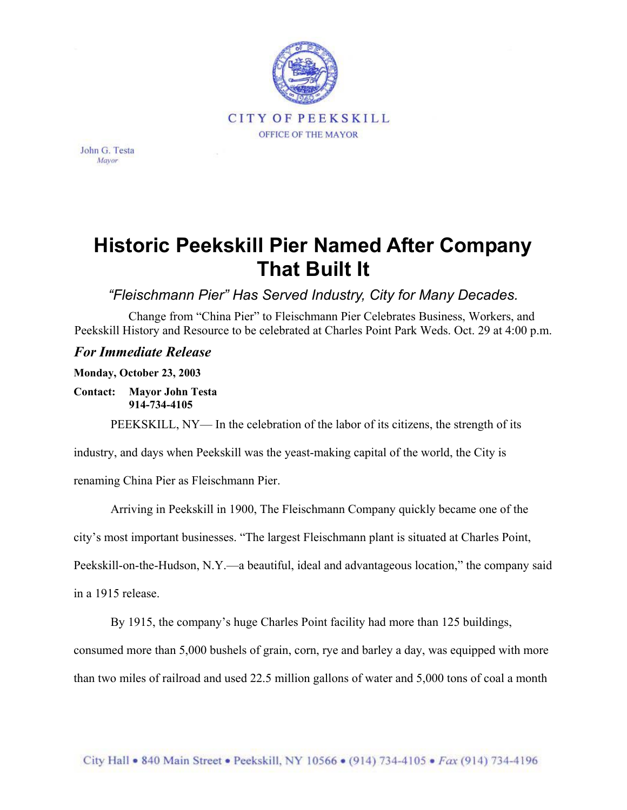

John G. Testa Mayor

## **Historic Peekskill Pier Named After Company That Built It**

*"Fleischmann Pier" Has Served Industry, City for Many Decades.*

Change from "China Pier" to Fleischmann Pier Celebrates Business, Workers, and Peekskill History and Resource to be celebrated at Charles Point Park Weds. Oct. 29 at 4:00 p.m.

## *For Immediate Release*

**Monday, October 23, 2003** 

**Contact: Mayor John Testa 914-734-4105** 

PEEKSKILL, NY— In the celebration of the labor of its citizens, the strength of its

industry, and days when Peekskill was the yeast-making capital of the world, the City is

renaming China Pier as Fleischmann Pier.

Arriving in Peekskill in 1900, The Fleischmann Company quickly became one of the

city's most important businesses. "The largest Fleischmann plant is situated at Charles Point,

Peekskill-on-the-Hudson, N.Y.—a beautiful, ideal and advantageous location," the company said

in a 1915 release.

By 1915, the company's huge Charles Point facility had more than 125 buildings,

consumed more than 5,000 bushels of grain, corn, rye and barley a day, was equipped with more

than two miles of railroad and used 22.5 million gallons of water and 5,000 tons of coal a month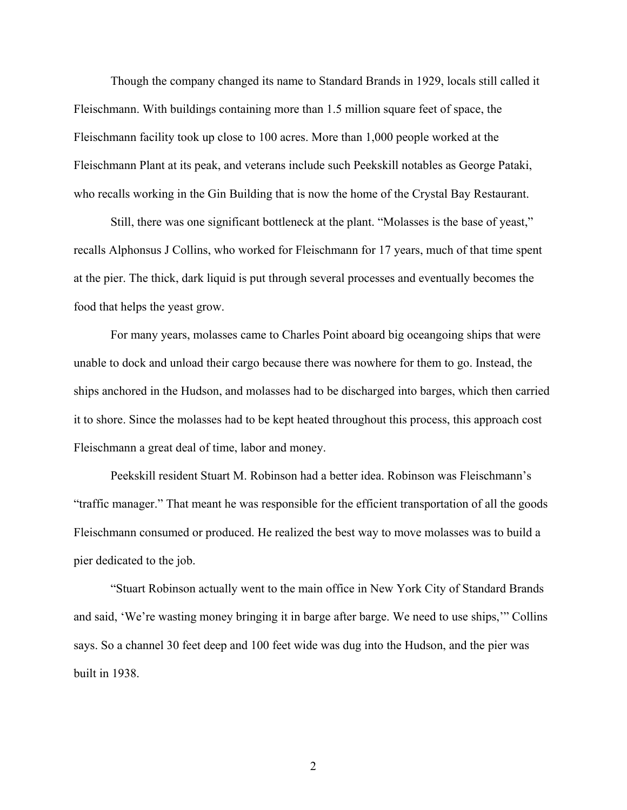Though the company changed its name to Standard Brands in 1929, locals still called it Fleischmann. With buildings containing more than 1.5 million square feet of space, the Fleischmann facility took up close to 100 acres. More than 1,000 people worked at the Fleischmann Plant at its peak, and veterans include such Peekskill notables as George Pataki, who recalls working in the Gin Building that is now the home of the Crystal Bay Restaurant.

Still, there was one significant bottleneck at the plant. "Molasses is the base of yeast," recalls Alphonsus J Collins, who worked for Fleischmann for 17 years, much of that time spent at the pier. The thick, dark liquid is put through several processes and eventually becomes the food that helps the yeast grow.

For many years, molasses came to Charles Point aboard big oceangoing ships that were unable to dock and unload their cargo because there was nowhere for them to go. Instead, the ships anchored in the Hudson, and molasses had to be discharged into barges, which then carried it to shore. Since the molasses had to be kept heated throughout this process, this approach cost Fleischmann a great deal of time, labor and money.

Peekskill resident Stuart M. Robinson had a better idea. Robinson was Fleischmann's "traffic manager." That meant he was responsible for the efficient transportation of all the goods Fleischmann consumed or produced. He realized the best way to move molasses was to build a pier dedicated to the job.

"Stuart Robinson actually went to the main office in New York City of Standard Brands and said, 'We're wasting money bringing it in barge after barge. We need to use ships,'" Collins says. So a channel 30 feet deep and 100 feet wide was dug into the Hudson, and the pier was built in 1938.

2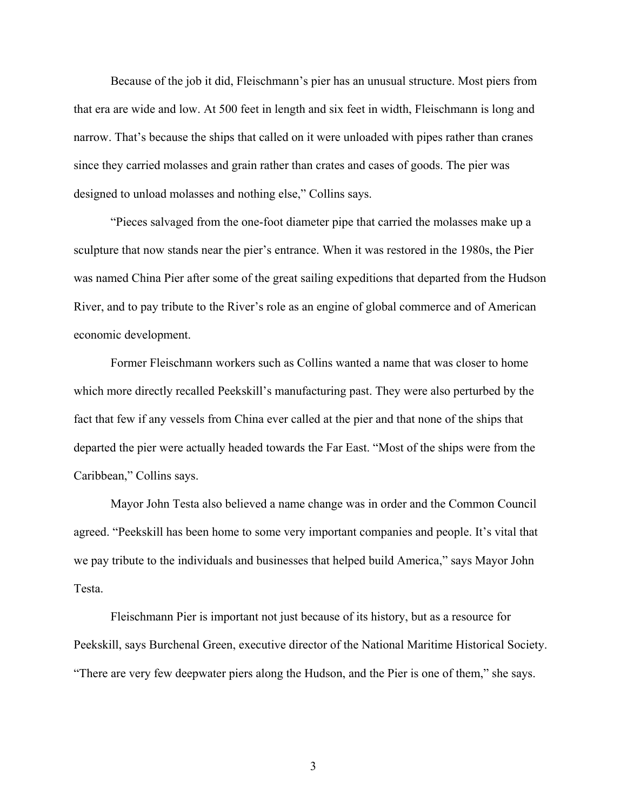Because of the job it did, Fleischmann's pier has an unusual structure. Most piers from that era are wide and low. At 500 feet in length and six feet in width, Fleischmann is long and narrow. That's because the ships that called on it were unloaded with pipes rather than cranes since they carried molasses and grain rather than crates and cases of goods. The pier was designed to unload molasses and nothing else," Collins says.

"Pieces salvaged from the one-foot diameter pipe that carried the molasses make up a sculpture that now stands near the pier's entrance. When it was restored in the 1980s, the Pier was named China Pier after some of the great sailing expeditions that departed from the Hudson River, and to pay tribute to the River's role as an engine of global commerce and of American economic development.

Former Fleischmann workers such as Collins wanted a name that was closer to home which more directly recalled Peekskill's manufacturing past. They were also perturbed by the fact that few if any vessels from China ever called at the pier and that none of the ships that departed the pier were actually headed towards the Far East. "Most of the ships were from the Caribbean," Collins says.

Mayor John Testa also believed a name change was in order and the Common Council agreed. "Peekskill has been home to some very important companies and people. It's vital that we pay tribute to the individuals and businesses that helped build America," says Mayor John Testa.

Fleischmann Pier is important not just because of its history, but as a resource for Peekskill, says Burchenal Green, executive director of the National Maritime Historical Society. "There are very few deepwater piers along the Hudson, and the Pier is one of them," she says.

3